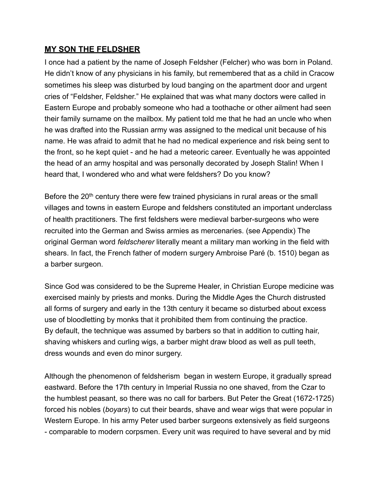## **MY SON THE FELDSHER**

I once had a patient by the name of Joseph Feldsher (Felcher) who was born in Poland. He didn't know of any physicians in his family, but remembered that as a child in Cracow sometimes his sleep was disturbed by loud banging on the apartment door and urgent cries of "Feldsher, Feldsher." He explained that was what many doctors were called in Eastern Europe and probably someone who had a toothache or other ailment had seen their family surname on the mailbox. My patient told me that he had an uncle who when he was drafted into the Russian army was assigned to the medical unit because of his name. He was afraid to admit that he had no medical experience and risk being sent to the front, so he kept quiet - and he had a meteoric career. Eventually he was appointed the head of an army hospital and was personally decorated by Joseph Stalin! When I heard that, I wondered who and what were feldshers? Do you know?

Before the 20<sup>th</sup> century there were few trained physicians in rural areas or the small villages and towns in eastern Europe and feldshers constituted an important underclass of health practitioners. The first feldshers were medieval barber-surgeons who were recruited into the German and Swiss armies as mercenaries. (see Appendix) The original German word *feldscherer* literally meant a military man working in the field with shears. In fact, the French father of modern surgery Ambroise Paré (b. 1510) began as a barber surgeon.

Since God was considered to be the Supreme Healer, in Christian Europe medicine was exercised mainly by priests and monks. During the Middle Ages the Church distrusted all forms of surgery and early in the 13th century it became so disturbed about excess use of bloodletting by monks that it prohibited them from continuing the practice. By default, the technique was assumed by barbers so that in addition to cutting hair, shaving whiskers and curling wigs, a barber might draw blood as well as pull teeth, dress wounds and even do minor surgery.

Although the phenomenon of feldsherism began in western Europe, it gradually spread eastward. Before the 17th century in Imperial Russia no one shaved, from the Czar to the humblest peasant, so there was no call for barbers. But Peter the Great (1672-1725) forced his nobles (*boyars*) to cut their beards, shave and wear wigs that were popular in Western Europe. In his army Peter used barber surgeons extensively as field surgeons - comparable to modern corpsmen. Every unit was required to have several and by mid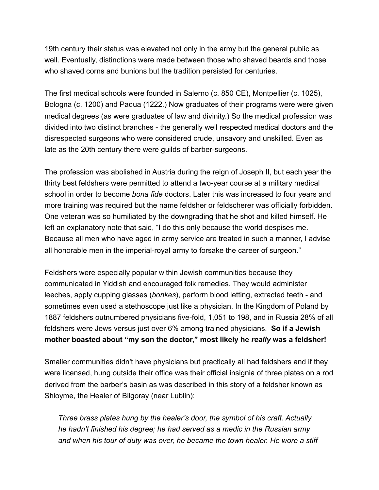19th century their status was elevated not only in the army but the general public as well. Eventually, distinctions were made between those who shaved beards and those who shaved corns and bunions but the tradition persisted for centuries.

The first medical schools were founded in Salerno (c. 850 CE), Montpellier (c. 1025), Bologna (c. 1200) and Padua (1222.) Now graduates of their programs were were given medical degrees (as were graduates of law and divinity.) So the medical profession was divided into two distinct branches - the generally well respected medical doctors and the disrespected surgeons who were considered crude, unsavory and unskilled. Even as late as the 20th century there were guilds of barber-surgeons.

The profession was abolished in Austria during the reign of Joseph II, but each year the thirty best feldshers were permitted to attend a two-year course at a military medical school in order to become *bona fide* doctors. Later this was increased to four years and more training was required but the name feldsher or feldscherer was officially forbidden. One veteran was so humiliated by the downgrading that he shot and killed himself. He left an explanatory note that said, "I do this only because the world despises me. Because all men who have aged in army service are treated in such a manner, I advise all honorable men in the imperial-royal army to forsake the career of surgeon."

Feldshers were especially popular within Jewish communities because they communicated in Yiddish and encouraged folk remedies. They would administer leeches, apply cupping glasses (*bonkes*), perform blood letting, extracted teeth - and sometimes even used a stethoscope just like a physician. In the Kingdom of Poland by 1887 feldshers outnumbered physicians five-fold, 1,051 to 198, and in Russia 28% of all feldshers were Jews versus just over 6% among trained physicians. **So if a Jewish mother boasted about "my son the doctor," most likely he** *really* **was a feldsher!** 

Smaller communities didn't have physicians but practically all had feldshers and if they were licensed, hung outside their office was their official insignia of three plates on a rod derived from the barber's basin as was described in this story of a feldsher known as Shloyme, the Healer of Bilgoray (near Lublin):

*Three brass plates hung by the healer's door, the symbol of his craft. Actually he hadn't finished his degree; he had served as a medic in the Russian army and when his tour of duty was over, he became the town healer. He wore a stiff*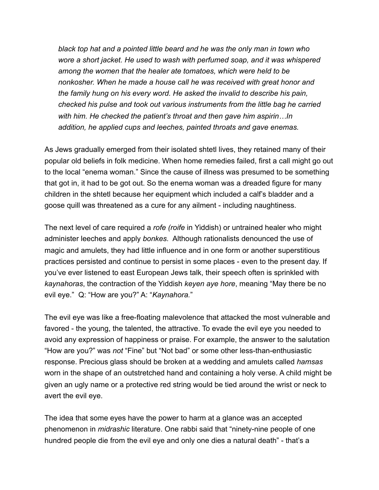*black top hat and a pointed little beard and he was the only man in town who wore a short jacket. He used to wash with perfumed soap, and it was whispered among the women that the healer ate tomatoes, which were held to be nonkosher. When he made a house call he was received with great honor and the family hung on his every word. He asked the invalid to describe his pain, checked his pulse and took out various instruments from the little bag he carried with him. He checked the patient's throat and then gave him aspirin…In addition, he applied cups and leeches, painted throats and gave enemas.* 

As Jews gradually emerged from their isolated shtetl lives, they retained many of their popular old beliefs in folk medicine. When home remedies failed, first a call might go out to the local "enema woman." Since the cause of illness was presumed to be something that got in, it had to be got out. So the enema woman was a dreaded figure for many children in the shtetl because her equipment which included a calf's bladder and a goose quill was threatened as a cure for any ailment - including naughtiness.

The next level of care required a *rofe (roife* in Yiddish) or untrained healer who might administer leeches and apply *bonkes.* Although rationalists denounced the use of magic and amulets, they had little influence and in one form or another superstitious practices persisted and continue to persist in some places - even to the present day. If you've ever listened to east European Jews talk, their speech often is sprinkled with *kaynahoras*, the contraction of the Yiddish *keyen aye hore*, meaning "May there be no evil eye." Q: "How are you?" A: "*Kaynahora.*"

The evil eye was like a free-floating malevolence that attacked the most vulnerable and favored - the young, the talented, the attractive. To evade the evil eye you needed to avoid any expression of happiness or praise. For example, the answer to the salutation "How are you?" was *not* "Fine" but "Not bad" or some other less-than-enthusiastic response. Precious glass should be broken at a wedding and amulets called *hamsas* worn in the shape of an outstretched hand and containing a holy verse. A child might be given an ugly name or a protective red string would be tied around the wrist or neck to avert the evil eye.

The idea that some eyes have the power to harm at a glance was an accepted phenomenon in *midrashic* literature. One rabbi said that "ninety-nine people of one hundred people die from the evil eye and only one dies a natural death" - that's a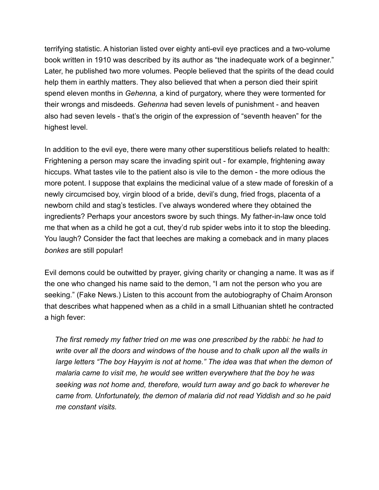terrifying statistic. A historian listed over eighty anti-evil eye practices and a two-volume book written in 1910 was described by its author as "the inadequate work of a beginner." Later, he published two more volumes. People believed that the spirits of the dead could help them in earthly matters. They also believed that when a person died their spirit spend eleven months in *Gehenna,* a kind of purgatory, where they were tormented for their wrongs and misdeeds. *Gehenna* had seven levels of punishment - and heaven also had seven levels - that's the origin of the expression of "seventh heaven" for the highest level.

In addition to the evil eye, there were many other superstitious beliefs related to health: Frightening a person may scare the invading spirit out - for example, frightening away hiccups. What tastes vile to the patient also is vile to the demon - the more odious the more potent. I suppose that explains the medicinal value of a stew made of foreskin of a newly circumcised boy, virgin blood of a bride, devil's dung, fried frogs, placenta of a newborn child and stag's testicles. I've always wondered where they obtained the ingredients? Perhaps your ancestors swore by such things. My father-in-law once told me that when as a child he got a cut, they'd rub spider webs into it to stop the bleeding. You laugh? Consider the fact that leeches are making a comeback and in many places *bonkes* are still popular!

Evil demons could be outwitted by prayer, giving charity or changing a name. It was as if the one who changed his name said to the demon, "I am not the person who you are seeking." (Fake News.) Listen to this account from the autobiography of Chaim Aronson that describes what happened when as a child in a small Lithuanian shtetl he contracted a high fever:

 *The first remedy my father tried on me was one prescribed by the rabbi: he had to write over all the doors and windows of the house and to chalk upon all the walls in large letters "The boy Hayyim is not at home." The idea was that when the demon of malaria came to visit me, he would see written everywhere that the boy he was seeking was not home and, therefore, would turn away and go back to wherever he came from. Unfortunately, the demon of malaria did not read Yiddish and so he paid me constant visits.*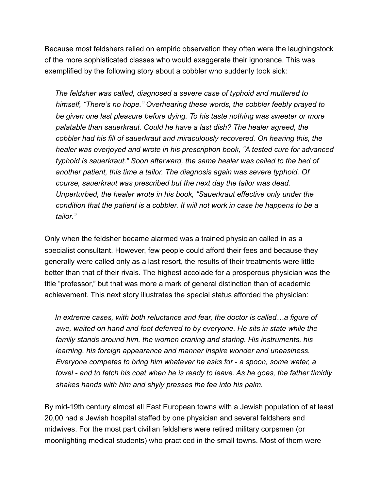Because most feldshers relied on empiric observation they often were the laughingstock of the more sophisticated classes who would exaggerate their ignorance. This was exemplified by the following story about a cobbler who suddenly took sick:

 *The feldsher was called, diagnosed a severe case of typhoid and muttered to himself, "There's no hope." Overhearing these words, the cobbler feebly prayed to be given one last pleasure before dying. To his taste nothing was sweeter or more*  palatable than sauerkraut. Could he have a last dish? The healer agreed, the *cobbler had his fill of sauerkraut and miraculously recovered. On hearing this, the healer was overjoyed and wrote in his prescription book, "A tested cure for advanced typhoid is sauerkraut." Soon afterward, the same healer was called to the bed of another patient, this time a tailor. The diagnosis again was severe typhoid. Of course, sauerkraut was prescribed but the next day the tailor was dead. Unperturbed, the healer wrote in his book, "Sauerkraut effective only under the condition that the patient is a cobbler. It will not work in case he happens to be a tailor."*

Only when the feldsher became alarmed was a trained physician called in as a specialist consultant. However, few people could afford their fees and because they generally were called only as a last resort, the results of their treatments were little better than that of their rivals. The highest accolade for a prosperous physician was the title "professor," but that was more a mark of general distinction than of academic achievement. This next story illustrates the special status afforded the physician:

 *In extreme cases, with both reluctance and fear, the doctor is called…a figure of awe, waited on hand and foot deferred to by everyone. He sits in state while the family stands around him, the women craning and staring. His instruments, his learning, his foreign appearance and manner inspire wonder and uneasiness. Everyone competes to bring him whatever he asks for - a spoon, some water, a towel - and to fetch his coat when he is ready to leave. As he goes, the father timidly shakes hands with him and shyly presses the fee into his palm.* 

By mid-19th century almost all East European towns with a Jewish population of at least 20,00 had a Jewish hospital staffed by one physician and several feldshers and midwives. For the most part civilian feldshers were retired military corpsmen (or moonlighting medical students) who practiced in the small towns. Most of them were